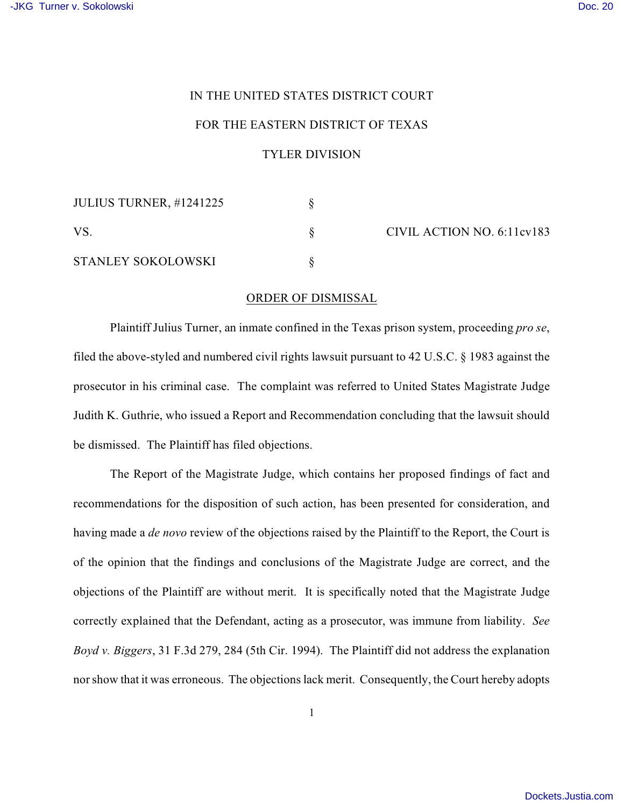## IN THE UNITED STATES DISTRICT COURT

## FOR THE EASTERN DISTRICT OF TEXAS

## TYLER DIVISION

| <b>JULIUS TURNER, #1241225</b> |  |
|--------------------------------|--|
| VS.                            |  |
| <b>STANLEY SOKOLOWSKI</b>      |  |

CIVIL ACTION NO. 6:11cv183

## ORDER OF DISMISSAL

Plaintiff Julius Turner, an inmate confined in the Texas prison system, proceeding *pro se*, filed the above-styled and numbered civil rights lawsuit pursuant to 42 U.S.C. § 1983 against the prosecutor in his criminal case. The complaint was referred to United States Magistrate Judge Judith K. Guthrie, who issued a Report and Recommendation concluding that the lawsuit should be dismissed. The Plaintiff has filed objections.

The Report of the Magistrate Judge, which contains her proposed findings of fact and recommendations for the disposition of such action, has been presented for consideration, and having made a *de novo* review of the objections raised by the Plaintiff to the Report, the Court is of the opinion that the findings and conclusions of the Magistrate Judge are correct, and the objections of the Plaintiff are without merit. It is specifically noted that the Magistrate Judge correctly explained that the Defendant, acting as a prosecutor, was immune from liability. *See Boyd v. Biggers*, 31 F.3d 279, 284 (5th Cir. 1994). The Plaintiff did not address the explanation nor show that it was erroneous. The objections lack merit. Consequently, the Court hereby adopts